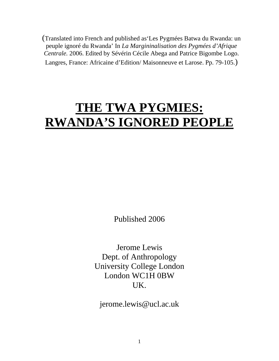(Translated into French and published as'Les Pygmées Batwa du Rwanda: un peuple ignoré du Rwanda' In *La Margininalisation des Pygmées d'Afrique Centrale.* 2006. Edited by Sévérin Cécile Abega and Patrice Bigombe Logo. Langres, France: Africaine d'Edition/ Maisonneuve et Larose. Pp. 79-105.)

# **THE TWA PYGMIES: RWANDA'S IGNORED PEOPLE**

Published 2006

Jerome Lewis Dept. of Anthropology University College London London WC1H 0BW UK.

jerome.lewis@ucl.ac.uk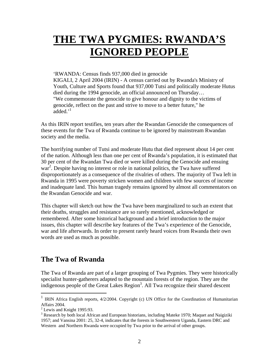## **THE TWA PYGMIES: RWANDA'S IGNORED PEOPLE**

#### 'RWANDA: Census finds 937,000 died in genocide

KIGALI, 2 April 2004 (IRIN) - A census carried out by Rwanda's Ministry of Youth, Culture and Sports found that 937,000 Tutsi and politically moderate Hutus died during the 1994 genocide, an official announced on Thursday… "We commemorate the genocide to give honour and dignity to the victims of genocide, reflect on the past and strive to move to a better future," he added.<sup>['1](#page-1-0)</sup>

As this IRIN report testifies, ten years after the Rwandan Genocide the consequences of these events for the Twa of Rwanda continue to be ignored by mainstream Rwandan society and the media.

The horrifying number of Tutsi and moderate Hutu that died represent about 14 per cent of the nation. Although less than one per cent of Rwanda's population, it is estimated that 30 per cent of the Rwandan Twa died or were killed during the Genocide and ensuing war<sup>[2](#page-1-1)</sup>. Despite having no interest or role in national politics, the Twa have suffered disproportionately as a consequence of the rivalries of others. The majority of Twa left in Rwanda in 1995 were poverty stricken women and children with few sources of income and inadequate land. This human tragedy remains ignored by almost all commentators on the Rwandan Genocide and war.

This chapter will sketch out how the Twa have been marginalized to such an extent that their deaths, struggles and resistance are so rarely mentioned, acknowledged or remembered. After some historical background and a brief introduction to the major issues, this chapter will describe key features of the Twa's experience of the Genocide, war and life afterwards. In order to present rarely heard voices from Rwanda their own words are used as much as possible.

## **The Twa of Rwanda**

The Twa of Rwanda are part of a larger grouping of Twa Pygmies. They were historically specialist hunter-gatherers adapted to the mountain forests of the region. They are the indigenous people of the Great Lakes Region<sup>3</sup>. All Twa recognize their shared descent

1

<span id="page-1-0"></span><sup>1</sup> IRIN Africa English reports, 4/2/2004. Copyright (c) UN Office for the Coordination of Humanitarian Affairs 2004.

<span id="page-1-1"></span> $2$  Lewis and Knight 1995:93.

<span id="page-1-2"></span><sup>&</sup>lt;sup>3</sup> Research by both local African and European historians, including Mateke 1970; Maquet and Naigiziki 1957; and Vansina 2001: 25, 32-4, indicates that the forests in Southwestern Uganda, Eastern DRC and Western and Northern Rwanda were occupied by Twa prior to the arrival of other groups.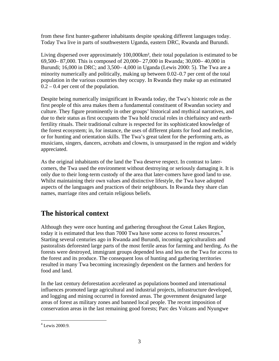from these first hunter-gatherer inhabitants despite speaking different languages today. Today Twa live in parts of southwestern Uganda, eastern DRC, Rwanda and Burundi.

Living dispersed over approximately 100,000km², their total population is estimated to be 69,500– 87,000. This is composed of 20,000– 27,000 in Rwanda; 30,000– 40,000 in Burundi; 16,000 in DRC; and 3,500– 4,000 in Uganda (Lewis 2000: 5). The Twa are a minority numerically and politically, making up between 0.02–0.7 per cent of the total population in the various countries they occupy. In Rwanda they make up an estimated  $0.2 - 0.4$  per cent of the population.

Despite being numerically insignificant in Rwanda today, the Twa's historic role as the first people of this area makes them a fundamental constituent of Rwandan society and culture. They figure prominently in other groups' historical and mythical narratives, and due to their status as first occupants the Twa hold crucial roles in chieftaincy and earthfertility rituals. Their traditional culture is respected for its sophisticated knowledge of the forest ecosystem; in, for instance, the uses of different plants for food and medicine, or for hunting and orientation skills. The Twa's great talent for the performing arts, as musicians, singers, dancers, acrobats and clowns, is unsurpassed in the region and widely appreciated.

As the original inhabitants of the land the Twa deserve respect. In contrast to latercomers, the Twa used the environment without destroying or seriously damaging it. It is only due to their long-term custody of the area that later-comers have good land to use. Whilst maintaining their own values and distinctive lifestyle, the Twa have adopted aspects of the languages and practices of their neighbours. In Rwanda they share clan names, marriage rites and certain religious beliefs.

## **The historical context**

Although they were once hunting and gathering throughout the Great Lakes Region, today it is estimated that less than 7000 Twa have some access to forest resources.<sup>[4](#page-2-0)</sup> Starting several centuries ago in Rwanda and Burundi, incoming agriculturalists and pastoralists deforested large parts of the most fertile areas for farming and herding. As the forests were destroyed, immigrant groups depended less and less on the Twa for access to the forest and its produce. The consequent loss of hunting and gathering territories resulted in many Twa becoming increasingly dependent on the farmers and herders for food and land.

In the last century deforestation accelerated as populations boomed and international influences promoted large agricultural and industrial projects, infrastructure developed, and logging and mining occurred in forested areas. The government designated large areas of forest as military zones and banned local people. The recent imposition of conservation areas in the last remaining good forests; Parc des Volcans and Nyungwe

<span id="page-2-0"></span><sup>&</sup>lt;u>.</u> 4 Lewis 2000:9.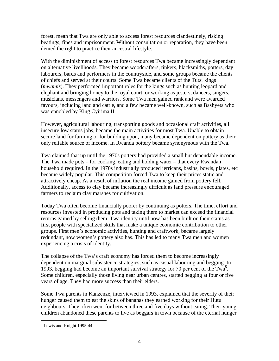forest, mean that Twa are only able to access forest resources clandestinely, risking beatings, fines and imprisonment. Without consultation or reparation, they have been denied the right to practice their ancestral lifestyle.

With the diminishment of access to forest resources Twa became increasingly dependant on alternative livelihoods. They became woodcrafters, tinkers, blacksmiths, potters, day labourers, bards and performers in the countryside, and some groups became the clients of chiefs and served at their courts. Some Twa became clients of the Tutsi kings (*mwamis*). They performed important roles for the kings such as hunting leopard and elephant and bringing honey to the royal court, or working as jesters, dancers, singers, musicians, messengers and warriors. Some Twa men gained rank and were awarded favours, including land and cattle, and a few became well-known, such as Bashyeta who was ennobled by King Cyirima II.

However, agricultural labouring, transporting goods and occasional craft activities, all insecure low status jobs, became the main activities for most Twa. Unable to obtain secure land for farming or for building upon, many became dependent on pottery as their only reliable source of income. In Rwanda pottery became synonymous with the Twa.

Twa claimed that up until the 1970s pottery had provided a small but dependable income. The Twa made pots – for cooking, eating and holding water – that every Rwandan household required. In the 1970s industrially produced jerricans, basins, bowls, plates, etc became widely popular. This competition forced Twa to keep their prices static and attractively cheap. As a result of inflation the real income gained from pottery fell. Additionally, access to clay became increasingly difficult as land pressure encouraged farmers to reclaim clay marshes for cultivation.

Today Twa often become financially poorer by continuing as potters. The time, effort and resources invested in producing pots and taking them to market can exceed the financial returns gained by selling them. Twa identity until now has been built on their status as first people with specialized skills that make a unique economic contribution to other groups. First men's economic activities, hunting and craftwork, became largely redundant, now women's pottery also has. This has led to many Twa men and women experiencing a crisis of identity.

The collapse of the Twa's craft economy has forced them to become increasingly dependent on marginal subsistence strategies, such as casual labouring and begging. In 1993, begging had become an important survival strategy for 70 per cent of the Twa<sup>5</sup>. Some children, especially those living near urban centres, started begging at four or five years of age. They had more success than their elders.

Some Twa parents in Kanzenze, interviewed in 1993, explained that the severity of their hunger caused them to eat the skins of bananas they earned working for their Hutu neighbours. They often went for between three and five days without eating. Their young children abandoned these parents to live as beggars in town because of the eternal hunger

<span id="page-3-0"></span><sup>&</sup>lt;sup>5</sup> Lewis and Knight 1995:44.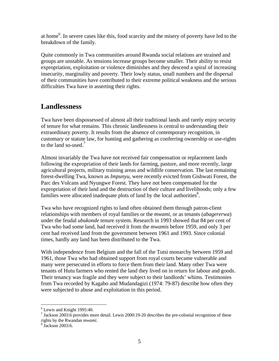at home<sup>[6](#page-4-0)</sup>. In severe cases like this, food scarcity and the misery of poverty have led to the breakdown of the family.

Quite commonly in Twa communities around Rwanda social relations are strained and groups are unstable. As tensions increase groups become smaller. Their ability to resist expropriation, exploitation or violence diminishes and they descend a spiral of increasing insecurity, marginality and poverty. Their lowly status, small numbers and the dispersal of their communities have contributed to their extreme political weakness and the serious difficulties Twa have in asserting their rights.

## **Landlessness**

Twa have been dispossessed of almost all their traditional lands and rarely enjoy security of tenure for what remains. This chronic landlessness is central to understanding their extraordinary poverty. It results from the absence of contemporary recognition, in customary or statute law, for hunting and gathering as conferring ownership or use-rights to the land so-used. $7$ 

Almost invariably the Twa have not received fair compensation or replacement lands following the expropriation of their lands for farming, pasture, and more recently, large agricultural projects, military training areas and wildlife conservation. The last remaining forest-dwelling Twa, known as *Impunyu*, were recently evicted from Gishwati Forest, the Parc des Volcans and Nyungwe Forest. They have not been compensated for the expropriation of their land and the destruction of their culture and livelihoods; only a few families were allocated inadequate plots of land by the local authorities<sup>[8](#page-4-2)</sup>.

Twa who have recognized rights to land often obtained them through patron-client relationships with members of royal families or the *mwami*, or as tenants (*abagererwa*) under the feudal *ubukonde* tenure system. Research in 1993 showed that 84 per cent of Twa who had some land, had received it from the *mwamis* before 1959, and only 3 per cent had received land from the government between 1961 and 1993. Since colonial times, hardly any land has been distributed to the Twa.

With independence from Belgium and the fall of the Tutsi monarchy between 1959 and 1961, those Twa who had obtained support from royal courts became vulnerable and many were persecuted in efforts to force them from their land. Many other Twa were tenants of Hutu farmers who rented the land they lived on in return for labour and goods. Their tenancy was fragile and they were subject to their landlords' whims. Testimonies from Twa recorded by Kagabo and Mudandagizi (1974: 79-87) describe how often they were subjected to abuse and exploitation in this period.

 $\frac{1}{6}$ 

<span id="page-4-1"></span><span id="page-4-0"></span> $^6$  Lewis and Knight 1995:40.<br><sup>7</sup> Jackson 2003:6 provides more detail. Lewis 2000:19-20 describes the pre-colonial recognition of these rights by the Rwandan *mwami*.

<span id="page-4-2"></span><sup>&</sup>lt;sup>8</sup> Jackson 2003:6.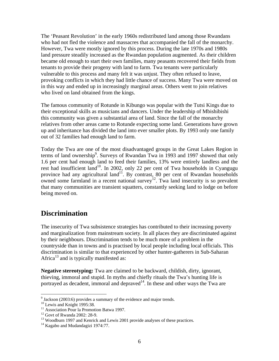The 'Peasant Revolution' in the early 1960s redistributed land among those Rwandans who had not fled the violence and massacres that accompanied the fall of the monarchy. However, Twa were mostly ignored by this process. During the late 1970s and 1980s land pressure steadily increased as the Rwandan population augmented. As their children became old enough to start their own families, many peasants recovered their fields from tenants to provide their progeny with land to farm. Twa tenants were particularly vulnerable to this process and many felt it was unjust. They often refused to leave, provoking conflicts in which they had little chance of success. Many Twa were moved on in this way and ended up in increasingly marginal areas. Others went to join relatives who lived on land obtained from the kings.

The famous community of Rotunde in Kibungo was popular with the Tutsi Kings due to their exceptional skills as musicians and dancers. Under the leadership of Mbishibishi this community was given a substantial area of land. Since the fall of the monarchy relatives from other areas came to Rotunde expecting some land. Generations have grown up and inheritance has divided the land into ever smaller plots. By 1993 only one family out of 32 families had enough land to farm.

Today the Twa are one of the most disadvantaged groups in the Great Lakes Region in terms of land ownership<sup>9</sup>. Surveys of Rwandan Twa in 1993 and 1997 showed that only 1.6 per cent had enough land to feed their families, 13% were entirely landless and the rest had insufficient land<sup>10</sup>. In 2002, only 22 per cent of Twa households in Cyangugu province had any agricultural land<sup>11</sup>. By contrast, 80 per cent of Rwandan households owned some farmland in a recent national survey<sup>12</sup>. Twa land insecurity is so prevalent that many communities are transient squatters, constantly seeking land to lodge on before being moved on.

## **Discrimination**

The insecurity of Twa subsistence strategies has contributed to their increasing poverty and marginalization from mainstream society. In all places they are discriminated against by their neighbours. Discrimination tends to be much more of a problem in the countryside than in towns and is practised by local people including local officials. This discrimination is similar to that experienced by other hunter-gatherers in Sub-Saharan Africa<sup>13</sup> and is typically manifested as:

**Negative stereotyping:** Twa are claimed to be backward, childish, dirty, ignorant, thieving, immoral and stupid. In myths and chiefly rituals the Twa's hunting life is portrayed as decadent, immoral and depraved $14$ . In these and other ways the Twa are

<span id="page-5-0"></span><sup>-&</sup>lt;br>9

<span id="page-5-1"></span>

<span id="page-5-2"></span>

<span id="page-5-4"></span><span id="page-5-3"></span>

<sup>&</sup>lt;sup>10</sup> Lewis and Knight 1995:38.<br><sup>11</sup> Association Pour la Promotion Batwa 1997.<br><sup>12</sup> Govt of Rwanda 2002: 28-9.<br><sup>13</sup> Woodburn 1997 and Kenrick and Lewis 2001 provide analyses of these practices.<br><sup>14</sup> Kagabo and Mudandagizi

<span id="page-5-5"></span>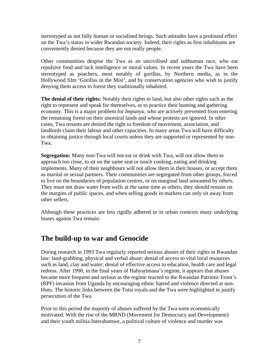stereotyped as not fully human or socialised beings. Such attitudes have a profound effect on the Twa's status in wider Rwandan society. Indeed, their rights as first inhabitants are conveniently denied because they are not really people.

Other communities despise the Twa as an uncivilised and subhuman race, who eat repulsive food and lack intelligence or moral values. In recent years the Twa have been stereotyped as poachers, most notably of gorillas, by Northern media, as in the Hollywood film 'Gorillas in the Mist', and by conservation agencies who wish to justify denying them access to forest they traditionally inhabited.

**The denial of their rights:** Notably their rights to land, but also other rights such as the right to represent and speak for themselves, or to practice their hunting and gathering economy. This is a major problem for *Impunyu*, who are actively prevented from entering the remaining forest on their ancestral lands and whose protests are ignored. In other cases, Twa tenants are denied the right to freedom of movement, association, and landlords claim their labour and other capacities. In many areas Twa will have difficulty in obtaining justice through local courts unless they are supported or represented by non-Twa.

**Segregation:** Many non-Twa will not eat or drink with Twa, will not allow them to approach too close, to sit on the same seat or touch cooking, eating and drinking implements. Many of their neighbours will not allow them in their houses, or accept them as marital or sexual partners. Their communities are segregated from other groups, forced to live on the boundaries of population centres, or on marginal land unwanted by others. They must not draw water from wells at the same time as others, they should remain on the margins of public spaces, and when selling goods in markets can only sit away from other sellers.

Although these practices are less rigidly adhered to in urban contexts many underlying biases against Twa remain.

## **The build-up to war and Genocide**

During research in 1993 Twa regularly reported serious abuses of their rights in Rwandan law: land-grabbing; physical and verbal abuse; denial of access to vital local resources such as land, clay and water; denial of effective access to education, health care and legal redress. After 1990, in the final years of Habyarimana's regime, it appears that abuses became more frequent and serious as the regime reacted to the Rwandan Patriotic Front's (RPF) invasion from Uganda by encouraging ethnic hatred and violence directed at non-Hutu. The historic links between the Tutsi royals and the Twa were highlighted to justify persecution of the Twa.

Prior to this period the majority of abuses suffered by the Twa were economically motivated. With the rise of the MRND (Movement for Democracy and Development) and their youth militia Interahamwe, a political culture of violence and murder was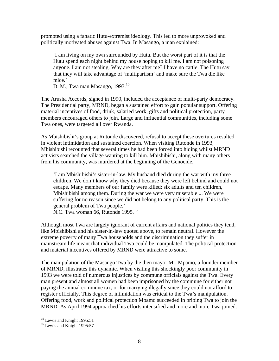promoted using a fanatic Hutu-extremist ideology. This led to more unprovoked and politically motivated abuses against Twa. In Masango, a man explained:

'I am living on my own surrounded by Hutu. But the worst part of it is that the Hutu spend each night behind my house hoping to kill me. I am not poisoning anyone. I am not stealing. Why are they after me? I have no cattle. The Hutu say that they will take advantage of 'multipartism' and make sure the Twa die like mice.'

D. M., Twa man Masango, 1993.<sup>15</sup>

The Arusha Accords, signed in 1990, included the acceptance of multi-party democracy. The Presidential party, MRND, began a sustained effort to gain popular support. Offering material incentives of food, drink, salaried work, gifts and political protection, party members encouraged others to join. Large and influential communities, including some Twa ones, were targeted all over Rwanda.

As Mbishibishi's group at Rutonde discovered, refusal to accept these overtures resulted in violent intimidation and sustained coercion. When visiting Rutonde in 1993, Mbishibishi recounted that several times he had been forced into hiding whilst MRND activists searched the village wanting to kill him. Mbishibishi, along with many others from his community, was murdered at the beginning of the Genocide.

'I am Mbishibishi's sister-in-law. My husband died during the war with my three children. We don't know why they died because they were left behind and could not escape. Many members of our family were killed: six adults and ten children, Mbishibishi among them. During the war we were very miserable ... We were suffering for no reason since we did not belong to any political party. This is the general problem of Twa people.'

N.C. Twa woman 66, Rutonde 1995.<sup>16</sup>

Although most Twa are largely ignorant of current affairs and national politics they tend, like Mbishibishi and his sister-in-law quoted above, to remain neutral. However the extreme poverty of many Twa households and the discrimination they suffer in mainstream life meant that individual Twa could be manipulated. The political protection and material incentives offered by MRND were attractive to some.

The manipulation of the Masango Twa by the then mayor Mr. Mpamo, a founder member of MRND, illustrates this dynamic. When visiting this shockingly poor community in 1993 we were told of numerous injustices by commune officials against the Twa. Every man present and almost all women had been imprisoned by the commune for either not paying the annual commune tax, or for marrying illegally since they could not afford to register officially. This degree of intimidation was critical to the Twa's manipulation. Offering food, work and political protection Mpamo succeeded in bribing Twa to join the MRND. As April 1994 approached his efforts intensified and more and more Twa joined.

<span id="page-7-1"></span><span id="page-7-0"></span>

<sup>&</sup>lt;sup>15</sup> Lewis and Knight 1995:51<br><sup>16</sup> Lewis and Knight 1995:57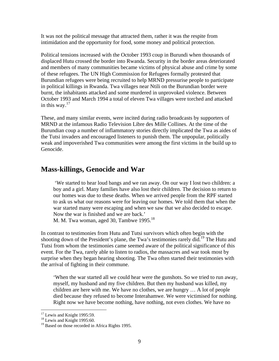It was not the political message that attracted them, rather it was the respite from intimidation and the opportunity for food, some money and political protection.

Political tensions increased with the October 1993 coup in Burundi when thousands of displaced Hutu crossed the border into Rwanda. Security in the border areas deteriorated and members of many communities became victims of physical abuse and crime by some of these refugees. The UN High Commission for Refugees formally protested that Burundian refugees were being recruited to help MRND pressurise people to participate in political killings in Rwanda. Twa villages near Ntili on the Burundian border were burnt, the inhabitants attacked and some murdered in unprovoked violence. Between October 1993 and March 1994 a total of eleven Twa villages were torched and attacked in this way. $17$ 

These, and many similar events, were incited during radio broadcasts by supporters of MRND at the infamous Radio Television Libre des Mille Collines. At the time of the Burundian coup a number of inflammatory stories directly implicated the Twa as aides of the Tutsi invaders and encouraged listeners to punish them. The unpopular, politically weak and impoverished Twa communities were among the first victims in the build up to Genocide.

#### **Mass-killings, Genocide and War**

 'We started to hear loud bangs and we ran away. On our way I lost two children: a boy and a girl. Many families have also lost their children. The decision to return to our homes was due to these deaths. When we arrived people from the RPF started to ask us what our reasons were for leaving our homes. We told them that when the war started many were escaping and when we saw that we also decided to escape. Now the war is finished and we are back.'

M. M. Twa woman, aged 30, Tambwe 1995.<sup>[18](#page-8-1)</sup>

In contrast to testimonies from Hutu and Tutsi survivors which often begin with the shooting down of the President's plane, the Twa's testimonies rarely did.<sup>19</sup> The Hutu and Tutsi from whom the testimonies came seemed aware of the political significance of this event. For the Twa, rarely able to listen to radios, the massacres and war took most by surprise when they began hearing shooting. The Twa often started their testimonies with the arrival of fighting in their commune.

'When the war started all we could hear were the gunshots. So we tried to run away, myself, my husband and my five children. But then my husband was killed, my children are here with me. We have no clothes, we are hungry … A lot of people died because they refused to become Interahamwe. We were victimised for nothing. Right now we have become nothing, have nothing, not even clothes. We have no

<span id="page-8-0"></span><sup>&</sup>lt;sup>17</sup> Lewis and Knight 1995:59.

<span id="page-8-1"></span> $18$  Lewis and Knight 1995:60.

<span id="page-8-2"></span><sup>&</sup>lt;sup>19</sup> Based on those recorded in Africa Rights 1995.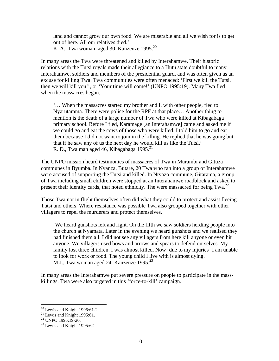land and cannot grow our own food. We are miserable and all we wish for is to get out of here. All our relatives died.' K. A., Twa woman, aged 30, Kanzenze 1995.<sup>[20](#page-9-0)</sup>

In many areas the Twa were threatened and killed by Interahamwe. Their historic relations with the Tutsi royals made their allegiance to a Hutu state doubtful to many Interahamwe, soldiers and members of the presidential guard, and was often given as an excuse for killing Twa. Twa communities were often menaced: 'First we kill the Tutsi, then we will kill you!', or 'Your time will come!' (UNPO 1995:19). Many Twa fled when the massacres began.

'… When the massacres started my brother and I, with other people, fled to Nyarutarama. There were police for the RPF at that place… Another thing to mention is the death of a large number of Twa who were killed at Kibagabaga primary school. Before I fled, Karamage [an Interahamwe] came and asked me if we could go and eat the cows of those who were killed. I told him to go and eat them because I did not want to join in the killing. He replied that he was going but that if he saw any of us the next day he would kill us like the Tutsi.' R. D., Twa man aged 46, Kibagabaga 1995.<sup>[21](#page-9-1)</sup>

The UNPO mission heard testimonies of massacres of Twa in Murambi and Gituza communes in Byumba. In Nyanza, Butare, 20 Twa who ran into a group of Interahamwe were accused of supporting the Tutsi and killed. In Ntyazo commune, Gitarama, a group of Twa including small children were stopped at an Interahamwe roadblock and asked to present their identity cards, that noted ethnicity. The were massacred for being  $Twa<sup>22</sup>$ 

Those Twa not in flight themselves often did what they could to protect and assist fleeing Tutsi and others. Where resistance was possible Twa also grouped together with other villagers to repel the murderers and protect themselves.

'We heard gunshots left and right. On the fifth we saw soldiers herding people into the church at Nyamata. Later in the evening we heard gunshots and we realised they had finished them all. I did not see any villagers from here kill anyone or even hit anyone. We villagers used bows and arrows and spears to defend ourselves. My family lost three children. I was almost killed. Now [due to my injuries] I am unable to look for work or food. The young child I live with is almost dying. M.J., Twa woman aged 24, Kanzenze 1995.<sup>[23](#page-9-3)</sup>

In many areas the Interahamwe put severe pressure on people to participate in the masskillings. Twa were also targeted in this 'force-to-kill' campaign.

<span id="page-9-0"></span><sup>&</sup>lt;sup>20</sup> Lewis and Knight 1995:61-2<br><sup>21</sup> Lewis and Knight 1995:61.<br><sup>22</sup> UNPO 1995:19-20.<br><sup>23</sup> Lewis and Knight 1995:62

<span id="page-9-1"></span>

<span id="page-9-2"></span>

<span id="page-9-3"></span>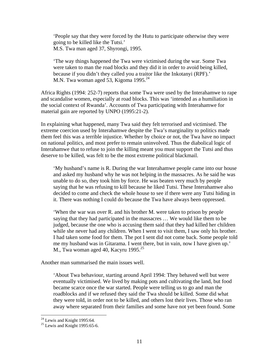'People say that they were forced by the Hutu to participate otherwise they were going to be killed like the Tutsi.' M.S. Twa man aged 37, Shyrongi, 1995.

'The way things happened the Twa were victimised during the war. Some Twa were taken to man the road blocks and they did it in order to avoid being killed, because if you didn't they called you a traitor like the Inkotanyi (RPF).' M.N. Twa woman aged 53, Kigoma 1995.<sup>[24](#page-10-0)</sup>

Africa Rights (1994: 252-7) reports that some Twa were used by the Interahamwe to rape and scandalise women, especially at road blocks. This was 'intended as a humiliation in the social context of Rwanda'. Accounts of Twa participating with Interahamwe for material gain are reported by UNPO (1995:21-2).

In explaining what happened, many Twa said they felt terrorised and victimised. The extreme coercion used by Interahamwe despite the Twa's marginality to politics made them feel this was a terrible injustice. Whether by choice or not, the Twa have no impact on national politics, and most prefer to remain uninvolved. Thus the diabolical logic of Interahamwe that to refuse to join the killing meant you must support the Tutsi and thus deserve to be killed, was felt to be the most extreme political blackmail.

'My husband's name is R. During the war Interahamwe people came into our house and asked my husband why he was not helping in the massacres. As he said he was unable to do so, they took him by force. He was beaten very much by people saying that he was refusing to kill because he liked Tutsi. These Interahamwe also decided to come and check the whole house to see if there were any Tutsi hiding in it. There was nothing I could do because the Twa have always been oppressed.

'When the war was over R. and his brother M. were taken to prison by people saying that they had participated in the massacres … We would like them to be judged, because the one who is accusing them said that they had killed her children while she never had any children. When I went to visit them, I saw only his brother. I had taken some food for them. The pot I sent did not come back. Some people told me my husband was in Gitarama. I went there, but in vain, now I have given up.' M., Twa woman aged 40, Kacyru 1995. $^{25}$  $^{25}$  $^{25}$ 

Another man summarised the main issues well.

'About Twa behaviour, starting around April 1994: They behaved well but were eventually victimised. We lived by making pots and cultivating the land, but food became scarce once the war started. People were telling us to go and man the roadblocks and if we refused they said the Twa should be killed. Some did what they were told, in order not to be killed, and others lost their lives. Those who ran away where separated from their families and some have not yet been found. Some

<span id="page-10-0"></span> $24$  Lewis and Knight 1995:64.

<span id="page-10-1"></span> $25$  Lewis and Knight 1995:65-6.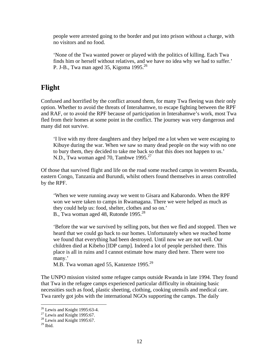people were arrested going to the border and put into prison without a charge, with no visitors and no food.

'None of the Twa wanted power or played with the politics of killing. Each Twa finds him or herself without relatives, and we have no idea why we had to suffer.' P. J-B., Twa man aged 35, Kigoma 1995.<sup>[26](#page-11-0)</sup>

#### **Flight**

Confused and horrified by the conflict around them, for many Twa fleeing was their only option. Whether to avoid the threats of Interahamwe, to escape fighting between the RPF and RAF, or to avoid the RPF because of participation in Interahamwe's work, most Twa fled from their homes at some point in the conflict. The journey was very dangerous and many did not survive.

'I live with my three daughters and they helped me a lot when we were escaping to Kibuye during the war. When we saw so many dead people on the way with no one to bury them, they decided to take me back so that this does not happen to us.' N.D., Twa woman aged 70, Tambwe 1995.<sup>[27](#page-11-1)</sup>

Of those that survived flight and life on the road some reached camps in western Rwanda, eastern Congo, Tanzania and Burundi, whilst others found themselves in areas controlled by the RPF.

'When we were running away we went to Gisara and Kabarondo. When the RPF won we were taken to camps in Rwamagana. There we were helped as much as they could help us: food, shelter, clothes and so on.' B., Twa woman aged 48, Rutonde 1995.<sup>28</sup>

'Before the war we survived by selling pots, but then we fled and stopped. Then we heard that we could go back to our homes. Unfortunately when we reached home we found that everything had been destroyed. Until now we are not well. Our children died at Kibeho [IDP camp]. Indeed a lot of people perished there. This place is all in ruins and I cannot estimate how many died here. There were too many.'

M.B. Twa woman aged 55, Kanzenze 1995.<sup>29</sup>

The UNPO mission visited some refugee camps outside Rwanda in late 1994. They found that Twa in the refugee camps experienced particular difficulty in obtaining basic necessities such as food, plastic sheeting, clothing, cooking utensils and medical care. Twa rarely got jobs with the international NGOs supporting the camps. The daily

<span id="page-11-0"></span> $26$  Lewis and Knight 1995:63-4.

<span id="page-11-1"></span><sup>&</sup>lt;sup>27</sup> Lewis and Knight 1995:67. <sup>28</sup> Lewis and Knight 1995:67.

<span id="page-11-2"></span>

<span id="page-11-3"></span> $^{29}$  Ibid.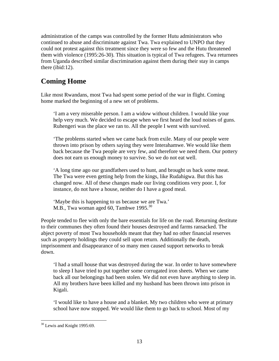administration of the camps was controlled by the former Hutu administrators who continued to abuse and discriminate against Twa. Twa explained to UNPO that they could not protest against this treatment since they were so few and the Hutu threatened them with violence (1995:26-30). This situation is typical of Twa refugees. Twa returnees from Uganda described similar discrimination against them during their stay in camps there (ibid:12).

## **Coming Home**

Like most Rwandans, most Twa had spent some period of the war in flight. Coming home marked the beginning of a new set of problems.

'I am a very miserable person. I am a widow without children. I would like your help very much. We decided to escape when we first heard the loud noises of guns. Ruhengeri was the place we ran to. All the people I went with survived.

'The problems started when we came back from exile. Many of our people were thrown into prison by others saying they were Interahamwe. We would like them back because the Twa people are very few, and therefore we need them. Our pottery does not earn us enough money to survive. So we do not eat well.

'A long time ago our grandfathers used to hunt, and brought us back some meat. The Twa were even getting help from the kings, like Rudahigwa. But this has changed now. All of these changes made our living conditions very poor. I, for instance, do not have a house, neither do I have a good meal.

'Maybe this is happening to us because we are Twa.' M.B., Twa woman aged 60, Tambwe 1995.<sup>[30](#page-12-0)</sup>

People tended to flee with only the bare essentials for life on the road. Returning destitute to their communes they often found their houses destroyed and farms ransacked. The abject poverty of most Twa households meant that they had no other financial reserves such as property holdings they could sell upon return. Additionally the death, imprisonment and disappearance of so many men caused support networks to break down.

'I had a small house that was destroyed during the war. In order to have somewhere to sleep I have tried to put together some corrugated iron sheets. When we came back all our belongings had been stolen. We did not even have anything to sleep in. All my brothers have been killed and my husband has been thrown into prison in Kigali.

'I would like to have a house and a blanket. My two children who were at primary school have now stopped. We would like them to go back to school. Most of my

<span id="page-12-0"></span><sup>&</sup>lt;sup>30</sup> Lewis and Knight 1995:69.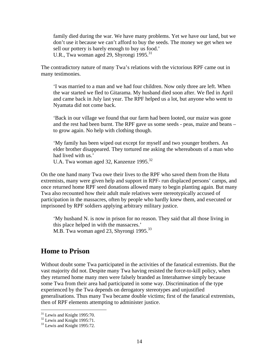family died during the war. We have many problems. Yet we have our land, but we don't use it because we can't afford to buy the seeds. The money we get when we sell our pottery is barely enough to buy us food.' U.R., Twa woman aged 29, Shyrongi 1995.<sup>[31](#page-13-0)</sup>

The contradictory nature of many Twa's relations with the victorious RPF came out in many testimonies.

'I was married to a man and we had four children. Now only three are left. When the war started we fled to Gitarama. My husband died soon after. We fled in April and came back in July last year. The RPF helped us a lot, but anyone who went to Nyamata did not come back.

'Back in our village we found that our farm had been looted, our maize was gone and the rest had been burnt. The RPF gave us some seeds - peas, maize and beans – to grow again. No help with clothing though.

'My family has been wiped out except for myself and two younger brothers. An elder brother disappeared. They tortured me asking the whereabouts of a man who had lived with us.'

U.A. Twa woman aged [32](#page-13-1), Kanzenze 1995.<sup>32</sup>

On the one hand many Twa owe their lives to the RPF who saved them from the Hutu extremists, many were given help and support in RPF- run displaced persons' camps, and once returned home RPF seed donations allowed many to begin planting again. But many Twa also recounted how their adult male relatives were stereotypically accused of participation in the massacres, often by people who hardly knew them, and executed or imprisoned by RPF soldiers applying arbitrary military justice.

'My husband N. is now in prison for no reason. They said that all those living in this place helped in with the massacres.' M.B. Twa woman aged 23, Shyrongi 1995.<sup>[33](#page-13-2)</sup>

#### **Home to Prison**

Without doubt some Twa participated in the activities of the fanatical extremists. But the vast majority did not. Despite many Twa having resisted the force-to-kill policy, when they returned home many men were falsely branded as Interahamwe simply because some Twa from their area had participated in some way. Discrimination of the type experienced by the Twa depends on derogatory stereotypes and unjustified generalisations. Thus many Twa became double victims; first of the fanatical extremists, then of RPF elements attempting to administer justice.

1

<span id="page-13-0"></span><sup>&</sup>lt;sup>31</sup> Lewis and Knight 1995:70.<br><sup>32</sup> Lewis and Knight 1995:71.<br><sup>33</sup> Lewis and Knight 1995:72.

<span id="page-13-1"></span>

<span id="page-13-2"></span>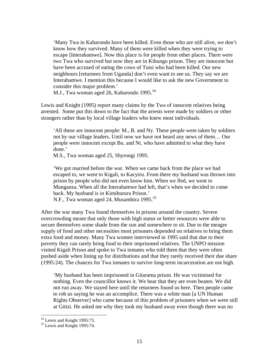'Many Twa in Kabarondo have been killed. Even those who are still alive, we don't know how they survived. Many of them were killed when they were trying to escape [Interahamwe]. Now this place is for people from other places. There were two Twa who survived but now they are in Kibungo prison. They are innocent but have been accused of eating the cows of Tutsi who had been killed. Our new neighbours [returnees from Uganda] don't even want to see us. They say we are Interahamwe. I mention this because I would like to ask the new Government to consider this major problem.'

M.J., Twa woman aged 26, Kabarondo 1995.<sup>[34](#page-14-0)</sup>

Lewis and Knight (1995) report many claims by the Twa of innocent relatives being arrested. Some put this down to the fact that the arrests were made by soldiers or other strangers rather than by local village leaders who knew most individuals.

'All these are innocent people: M., B. and Ny. These people were taken by soldiers not by our village leaders. Until now we have not heard any news of them… Our people were innocent except Bu. and Nt. who have admitted to what they have done.'

M.S., Twa woman aged 25, Shyrongi 1995.

'We got married before the war. When we came back from the place we had escaped to, we went to Kigali, to Kacyiru. From there my husband was thrown into prison by people who did not even know him. When we fled, we went to Munganza. When all the Interahamwe had left, that's when we decided to come back. My husband is in Kimihurura Prison.'

N.F., Twa woman aged 24, Musambira 1995.<sup>[35](#page-14-1)</sup>

After the war many Twa found themselves in prisons around the country. Severe overcrowding meant that only those with high status or better resources were able to secure themselves some shade from the sun and somewhere to sit. Due to the meagre supply of food and other necessities most prisoners depended on relatives to bring them extra food and money. Many Twa women interviewed in 1995 said that due to their poverty they can rarely bring food to their imprisoned relatives. The UNPO mission visited Kigali Prison and spoke to Twa inmates who told them that they were often pushed aside when lining up for distributions and that they rarely received their due share (1995:24). The chances for Twa inmates to survive long-term incarceration are not high.

'My husband has been imprisoned in Gitarama prison. He was victimised for nothing. Even the councillor knows it. We hear that they are even beaten. We did not run away. We stayed here until the returnees found us here. Then people came to rob us saying he was an accomplice. There was a white man [a UN Human Rights Observer] who came because of this problem of prisoners when we were still at Gitizi. He asked me why they took my husband away even though there was no

<span id="page-14-0"></span><sup>&</sup>lt;sup>34</sup> Lewis and Knight 1995:73.

<span id="page-14-1"></span> $35$  Lewis and Knight 1995:74.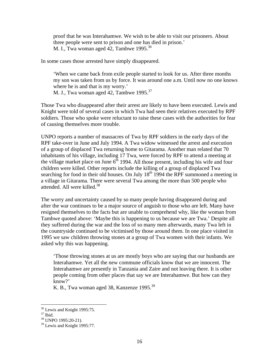proof that he was Interahamwe. We wish to be able to visit our prisoners. About three people were sent to prison and one has died in prison.' M. I., Twa woman aged 42, Tambwe 1995.<sup>[36](#page-15-0)</sup>

In some cases those arrested have simply disappeared.

'When we came back from exile people started to look for us. After three months my son was taken from us by force. It was around one a.m. Until now no one knows where he is and that is my worry.'

M. J., Twa woman aged 42, Tambwe 1995.<sup>[37](#page-15-1)</sup>

Those Twa who disappeared after their arrest are likely to have been executed. Lewis and Knight were told of several cases in which Twa had seen their relatives executed by RPF soldiers. Those who spoke were reluctant to raise these cases with the authorities for fear of causing themselves more trouble.

UNPO reports a number of massacres of Twa by RPF soldiers in the early days of the RPF take-over in June and July 1994. A Twa widow witnessed the arrest and execution of a group of displaced Twa returning home to Gitarama. Another man related that 70 inhabitants of his village, including 17 Twa, were forced by RPF to attend a meeting at the village market place on June  $6<sup>th</sup>$  1994. All those present, including his wife and four children were killed. Other reports include the killing of a group of displaced Twa searching for food in their old houses. On July  $18<sup>th</sup>$  1994 the RPF summoned a meeting in a village in Gitarama. There were several Twa among the more than 500 people who attended. All were killed.<sup>[38](#page-15-2)</sup>

The worry and uncertainty caused by so many people having disappeared during and after the war continues to be a major source of anguish to those who are left. Many have resigned themselves to the facts but are unable to comprehend why, like the woman from Tambwe quoted above: 'Maybe this is happening to us because we are Twa.' Despite all they suffered during the war and the loss of so many men afterwards, many Twa left in the countryside continued to be victimised by those around them. In one place visited in 1995 we saw children throwing stones at a group of Twa women with their infants. We asked why this was happening.

'Those throwing stones at us are mostly boys who are saying that our husbands are Interahamwe. Yet all the new commune officials know that we are innocent. The Interahamwe are presently in Tanzania and Zaire and not leaving there. It is other people coming from other places that say we are Interahamwe. But how can they know?'

K. B., Twa woman aged 38, Kanzenze 1995.<sup>39</sup>

<span id="page-15-0"></span> $36$  Lewis and Knight 1995:75.

<span id="page-15-1"></span>

<span id="page-15-3"></span><span id="page-15-2"></span>

 $\frac{37}{37}$  Ibid.<br><sup>38</sup> UNPO 1995:20-21).<br><sup>39</sup> Lewis and Knight 1995:77.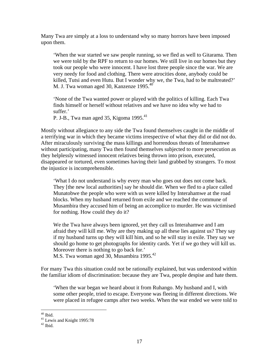Many Twa are simply at a loss to understand why so many horrors have been imposed upon them.

'When the war started we saw people running, so we fled as well to Gitarama. Then we were told by the RPF to return to our homes. We still live in our homes but they took our people who were innocent. I have lost three people since the war. We are very needy for food and clothing. There were atrocities done, anybody could be killed, Tutsi and even Hutu. But I wonder why we, the Twa, had to be maltreated?' M. J. Twa woman aged 30, Kanzenze 1995.<sup>[40](#page-16-0)</sup>

'None of the Twa wanted power or played with the politics of killing. Each Twa finds himself or herself without relatives and we have no idea why we had to suffer.'

P. J-B., Twa man aged 35, Kigoma 1995.<sup>[41](#page-16-1)</sup>

Mostly without allegiance to any side the Twa found themselves caught in the middle of a terrifying war in which they became victims irrespective of what they did or did not do. After miraculously surviving the mass killings and horrendous threats of Interahamwe without participating, many Twa then found themselves subjected to more persecution as they helplessly witnessed innocent relatives being thrown into prison, executed, disappeared or tortured, even sometimes having their land grabbed by strangers. To most the injustice is incomprehensible.

'What I do not understand is why every man who goes out does not come back. They [the new local authorities] say he should die. When we fled to a place called Munatobwe the people who were with us were killed by Interahamwe at the road blocks. When my husband returned from exile and we reached the commune of Musambira they accused him of being an accomplice to murder. He was victimised for nothing. How could they do it?

We the Twa have always been ignored, yet they call us Interahamwe and I am afraid they will kill me. Why are they making up all these lies against us? They say if my husband turns up they will kill him, and so he will stay in exile. They say we should go home to get photographs for identity cards. Yet if we go they will kill us. Moreover there is nothing to go back for.'

M.S. Twa woman aged 30, Musambira 1995.[42](#page-16-2)

For many Twa this situation could not be rationally explained, but was understood within the familiar idiom of discrimination: because they are Twa, people despise and hate them.

'When the war began we heard about it from Ruhango. My husband and I, with some other people, tried to escape. Everyone was fleeing in different directions. We were placed in refugee camps after two weeks. When the war ended we were told to

<span id="page-16-0"></span> $40$  Ibid.

<span id="page-16-1"></span> $41 \text{ Lewis}$  and Knight 1995:78<br> $42 \text{ Ibid.}$ 

<span id="page-16-2"></span>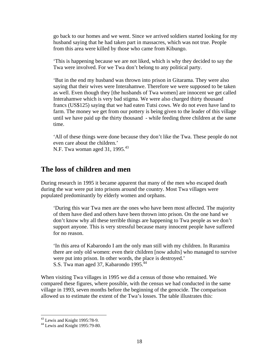go back to our homes and we went. Since we arrived soldiers started looking for my husband saying that he had taken part in massacres, which was not true. People from this area were killed by those who came from Kibungo.

'This is happening because we are not liked, which is why they decided to say the Twa were involved. For we Twa don't belong to any political party.

'But in the end my husband was thrown into prison in Gitarama. They were also saying that their wives were Interahamwe. Therefore we were supposed to be taken as well. Even though they [the husbands of Twa women] are innocent we get called Interahamwe which is very bad stigma. We were also charged thirty thousand francs (US\$125) saying that we had eaten Tutsi cows. We do not even have land to farm. The money we get from our pottery is being given to the leader of this village until we have paid up the thirty thousand - while feeding three children at the same time.

'All of these things were done because they don't like the Twa. These people do not even care about the children.' N.F. Twa woman aged 31, 1995.<sup>[43](#page-17-0)</sup>

#### **The loss of children and men**

During research in 1995 it became apparent that many of the men who escaped death during the war were put into prisons around the country. Most Twa villages were populated predominantly by elderly women and orphans.

'During this war Twa men are the ones who have been most affected. The majority of them have died and others have been thrown into prison. On the one hand we don't know why all these terrible things are happening to Twa people as we don't support anyone. This is very stressful because many innocent people have suffered for no reason.

'In this area of Kabarondo I am the only man still with my children. In Ruramira there are only old women: even their children [now adults] who managed to survive were put into prison. In other words, the place is destroyed.' S.S. Twa man aged 37, Kabarondo 1995.<sup>44</sup>

When visiting Twa villages in 1995 we did a census of those who remained. We compared these figures, where possible, with the census we had conducted in the same village in 1993, seven months before the beginning of the genocide. The comparison allowed us to estimate the extent of the Twa's losses. The table illustrates this:

<span id="page-17-1"></span><span id="page-17-0"></span>

 $^{43}$  Lewis and Knight 1995:78-9.<br> $^{44}$  Lewis and Knight 1995:79-80.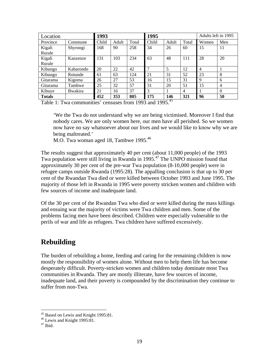| Location      |                 | 1993  |       |       | 1995  |       |                | Adults left in 1995      |                |
|---------------|-----------------|-------|-------|-------|-------|-------|----------------|--------------------------|----------------|
| Province      | Commune         | Child | Adult | Total | Child | Adult | Total          | Women                    | Men            |
| Kigali        | Shyrongi        | 168   | 90    | 258   | 34    | 26    | 60             | 15                       | 11             |
| Rurale        |                 |       |       |       |       |       |                |                          |                |
| Kigali        | Kanzenze        | 131   | 103   | 234   | 63    | 48    | 111            | 28                       | 20             |
| Rurale        |                 |       |       |       |       |       |                |                          |                |
| Kibungo       | Kabarondo       | 20    | 22    | 42    | 7     | 5     | 12             | $\overline{\mathcal{A}}$ |                |
| Kibungo       | Rotunde         | 61    | 63    | 124   | 21    | 31    | 52             | 23                       | 8              |
| Gitarama      | Kigoma          | 26    | 27    | 53    | 16    | 15    | 31             | 9                        | 6              |
| Gitarama      | Tambwe          | 25    | 32    | 57    | 31    | 20    | 51             | 15                       | $\overline{4}$ |
| Kibuye        | <b>B</b> wakira | 21    | 16    | 37    | 3     |       | $\overline{4}$ |                          | $\theta$       |
| <b>Totals</b> |                 | 452   | 353   | 805   | 175   | 146   | 321            | 96                       | 50             |

Table 1: Twa communities' censuses from 1993 and 1995.<sup>45</sup>

'We the Twa do not understand why we are being victimised. Moreover I find that nobody cares. We are only women here, our men have all perished. So we women now have no say whatsoever about our lives and we would like to know why we are being maltreated.'

M.O. Twa woman aged 18, Tambwe 1995.<sup>46</sup>

The results suggest that approximately 40 per cent (about 11,000 people) of the 1993 Twa population were still living in Rwanda in 1995[.47](#page-18-2) The UNPO mission found that approximately 30 per cent of the pre-war Twa population (8-10,000 people) were in refugee camps outside Rwanda (1995:28). The appalling conclusion is that up to 30 per cent of the Rwandan Twa died or were killed between October 1993 and June 1995. The majority of those left in Rwanda in 1995 were poverty stricken women and children with few sources of income and inadequate land.

Of the 30 per cent of the Rwandan Twa who died or were killed during the mass killings and ensuing war the majority of victims were Twa children and men. Some of the problems facing men have been described. Children were especially vulnerable to the perils of war and life as refugees. Twa children have suffered excessively.

## **Rebuilding**

The burden of rebuilding a home, feeding and caring for the remaining children is now mostly the responsibility of women alone. Without men to help them life has become desperately difficult. Poverty-stricken women and children today dominate most Twa communities in Rwanda. They are mostly illiterate, have few sources of income, inadequate land, and their poverty is compounded by the discrimination they continue to suffer from non-Twa.

<span id="page-18-0"></span><sup>&</sup>lt;sup>45</sup> Based on Lewis and Knight 1995:81.<br><sup>46</sup> Lewis and Knight 1995:81.<br><sup>47</sup> Ibid.

<span id="page-18-1"></span>

<span id="page-18-2"></span>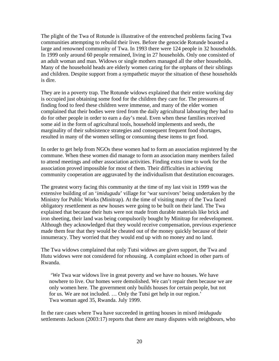The plight of the Twa of Rotunde is illustrative of the entrenched problems facing Twa communities attempting to rebuild their lives. Before the genocide Rotunde boasted a large and renowned community of Twa. In 1993 there were 124 people in 32 households. In 1999 only around 60 people remained, living in 27 households. Only one consisted of an adult woman and man. Widows or single mothers managed all the other households. Many of the household heads are elderly women caring for the orphans of their siblings and children. Despite support from a sympathetic mayor the situation of these households is dire.

They are in a poverty trap. The Rotunde widows explained that their entire working day is occupied just obtaining some food for the children they care for. The pressures of finding food to feed these children were immense, and many of the elder women complained that their bodies were tired from the daily agricultural labouring they had to do for other people in order to earn a day's meal. Even when these families received some aid in the form of agricultural tools, household implements and seeds, the marginality of their subsistence strategies and consequent frequent food shortages, resulted in many of the women selling or consuming these items to get food.

In order to get help from NGOs these women had to form an association registered by the commune. When these women did manage to form an association many members failed to attend meetings and other association activities. Finding extra time to work for the association proved impossible for most of them. Their difficulties in achieving community cooperation are aggravated by the individualism that destitution encourages.

The greatest worry facing this community at the time of my last visit in 1999 was the extensive building of an '*imidugudu*' village for 'war survivors' being undertaken by the Ministry for Public Works (Minitrap). At the time of visiting many of the Twa faced obligatory resettlement as new houses were going to be built on their land. The Twa explained that because their huts were not made from durable materials like brick and iron sheeting, their land was being compulsorily bought by Minitrap for redevelopment. Although they acknowledged that they would receive compensation, previous experience made them fear that they would be cheated out of the money quickly because of their innumeracy. They worried that they would end up with no money and no land.

The Twa widows complained that only Tutsi widows are given support, the Twa and Hutu widows were not considered for rehousing. A complaint echoed in other parts of Rwanda.

 'We Twa war widows live in great poverty and we have no houses. We have nowhere to live. Our homes were demolished. We can't repair them because we are only women here. The government only builds houses for certain people, but not for us. We are not included. … Only the Tutsi get help in our region.' Twa woman aged 35, Rwanda. July 1999.

In the rare cases where Twa have succeeded in getting houses in mixed *imidugudu*  settlements Jackson (2003:17) reports that there are many disputes with neighbours, who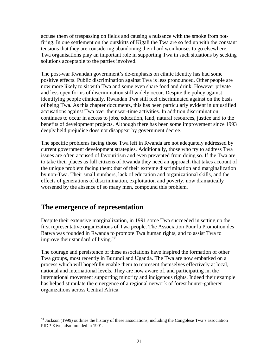accuse them of trespassing on fields and causing a nuisance with the smoke from potfiring. In one settlement on the outskirts of Kigali the Twa are so fed up with the constant tensions that they are considering abandoning their hard won houses to go elsewhere. Twa organisations play an important role in supporting Twa in such situations by seeking solutions acceptable to the parties involved.

The post-war Rwandan government's de-emphasis on ethnic identity has had some positive effects. Public discrimination against Twa is less pronounced. Other people are now more likely to sit with Twa and some even share food and drink. However private and less open forms of discrimination still widely occur. Despite the policy against identifying people ethnically, Rwandan Twa still feel discriminated against on the basis of being Twa. As this chapter documents, this has been particularly evident in unjustified accusations against Twa over their war-time activities. In addition discrimination continues to occur in access to jobs, education, land, natural resources, justice and to the benefits of development projects. Although there has been some improvement since 1993 deeply held prejudice does not disappear by government decree.

The specific problems facing those Twa left in Rwanda are not adequately addressed by current government development strategies. Additionally, those who try to address Twa issues are often accused of favouritism and even prevented from doing so. If the Twa are to take their places as full citizens of Rwanda they need an approach that takes account of the unique problem facing them: that of their extreme discrimination and marginalization by non-Twa. Their small numbers, lack of education and organizational skills, and the effects of generations of discrimination, exploitation and poverty, now dramatically worsened by the absence of so many men, compound this problem.

## **The emergence of representation**

 $\overline{a}$ 

Despite their extensive marginalization, in 1991 some Twa succeeded in setting up the first representative organizations of Twa people. The Association Pour la Promotion des Batwa was founded in Rwanda to promote Twa human rights, and to assist Twa to improve their standard of living.<sup>48</sup>

The courage and persistence of these associations have inspired the formation of other Twa groups, most recently in Burundi and Uganda. The Twa are now embarked on a process which will hopefully enable them to represent themselves effectively at local, national and international levels. They are now aware of, and participating in, the international movement supporting minority and indigenous rights. Indeed their example has helped stimulate the emergence of a regional network of forest hunter-gatherer organizations across Central Africa.

<span id="page-20-0"></span><sup>&</sup>lt;sup>48</sup> Jackson (1999) outlines the history of these associations, including the Congolese Twa's association PIDP-Kivu, also founded in 1991.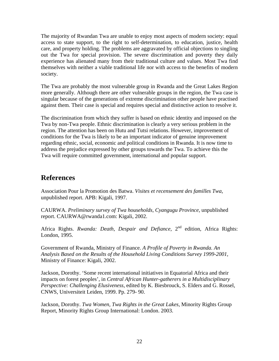The majority of Rwandan Twa are unable to enjoy most aspects of modern society: equal access to state support, to the right to self-determination, to education, justice, health care, and property holding. The problems are aggravated by official objections to singling out the Twa for special provision. The severe discrimination and poverty they daily experience has alienated many from their traditional culture and values. Most Twa find themselves with neither a viable traditional life nor with access to the benefits of modern society.

The Twa are probably the most vulnerable group in Rwanda and the Great Lakes Region more generally. Although there are other vulnerable groups in the region, the Twa case is singular because of the generations of extreme discrimination other people have practised against them. Their case is special and requires special and distinctive action to resolve it.

The discrimination from which they suffer is based on ethnic identity and imposed on the Twa by non-Twa people. Ethnic discrimination is clearly a very serious problem in the region. The attention has been on Hutu and Tutsi relations. However, improvement of conditions for the Twa is likely to be an important indicator of genuine improvement regarding ethnic, social, economic and political conditions in Rwanda. It is now time to address the prejudice expressed by other groups towards the Twa. To achieve this the Twa will require committed government, international and popular support.

#### **References**

Association Pour la Promotion des Batwa. *Visites et recensement des familles Twa,* unpublished report. APB: Kigali, 1997.

CAURWA. *Preliminary survey of Twa households, Cyangugu Province*, unpublished report. CAURWA@rwanda1.com: Kigali, 2002.

Africa Rights. *Rwanda: Death, Despair and Defiance*, 2<sup>nd</sup> edition, Africa Rights: London, 1995.

Government of Rwanda, Ministry of Finance. *A Profile of Poverty in Rwanda. An Analysis Based on the Results of the Household Living Conditions Survey 1999-2001,*  Ministry of Finance: Kigali, 2002.

Jackson, Dorothy. 'Some recent international initiatives in Equatorial Africa and their impacts on forest peoples', in *Central African Hunter-gatherers in a Multidisciplinary Perspective: Challenging Elusiveness,* edited by K. Biesbrouck, S. Elders and G. Rossel, CNWS, Universiteit Leiden, 1999. Pp. 279- 90.

Jackson, Dorothy. *Twa Women, Twa Rights in the Great Lakes,* Minority Rights Group Report, Minority Rights Group International: London. 2003.